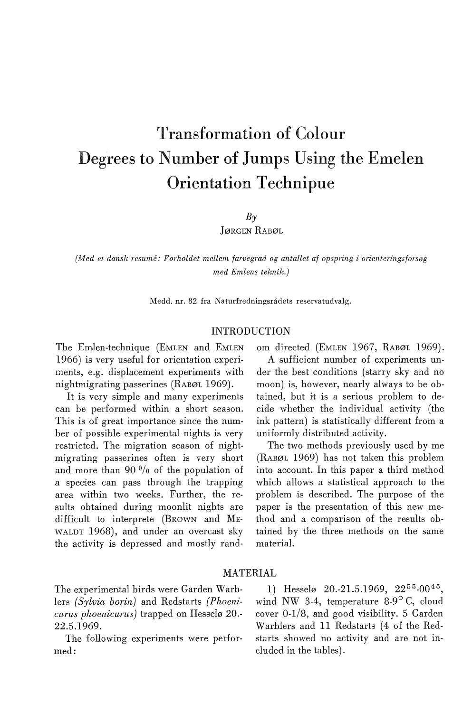# Transformation of Colour Degrees to Number of Jumps Using the Emelen Orientation Technipue

 $B<sub>\gamma</sub>$ 

JØRGEN RABØL

*(Med et dansk resume: Forholdet mellem farvegrad og antallet af opspring i orienteringsforsøg med Emlens teknik.)* 

Medd. nr. 82 fra Naturfredningsrådets reservatudvalg.

### INTRODUCTION

The Emlen-technique (EMLEN and EMLEN 1966) is very useful for orientation experiments, e.g. displacement experiments with nightmigrating passerines (RABØL 1969).

It is very simple and many experiments can be performed within a short season. This is of great importance since the number of possible experimental nights is very restricted. The migration season of nightmigrating passerines often is very short and more than  $90\frac{0}{0}$  of the population of a species can pass through the trapping area within two weeks. Further, the results obtained during moonlit nights are difficult to interprete (BROWN and ME-WALDT 1968), and under an overcast sky the activity is depressed and mostly random directed (EMLEN 1967, RABØL 1969).

A sufficient number of experiments under the best conditions (starry sky and no moon) is, however, nearly always to be obtained, but it is a serious problem to decide whether the individual activity (the ink pattern) is statistically different from a uniformly distributed activity.

The two methods previously used by me (RABØL 1969) has not taken this problem into account. In this paper a third method which allows a statistical approach to the problem is described. The purpose of the paper is the presentation of this new method and a comparison of the results obtained by the three methods on the same material.

## MATERIAL

lers *(Sylvia borin)* and Redstarts *(Phoeni-* wind NW 3-4, temperature 8-9° C, cloud *curus phoenicurus)* trapped on Hesselø 20.- cover 0-1/8, and good visibility. 5 Garden 22.5.1969. Warblers and 11 Redstarts (4 of the Red-

med: cluded in the tables).

The experimental birds were Garden Warb- 1) Hesselø 20.-21.5.1969,  $22^{55}$ -00<sup>45</sup>, The following experiments were perfor- starts showed no activity and are not in-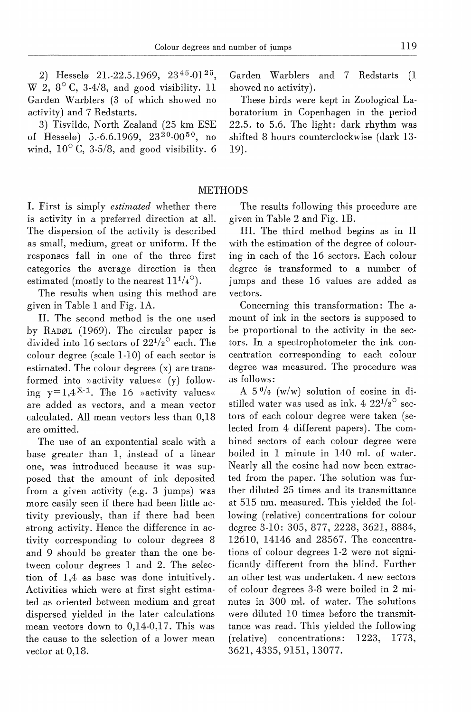2) Hesselø 21.-22.5.1969,  $23^{45}$ -01<sup>25</sup>, W 2,  $8^{\circ}$  C, 3-4/8, and good visibility. 11 Garden Warblers (3 of which showed no activity) and 7 Redstarts.

3) Tisvilde, North Zealand (25 km ESE of Hesselø) 5.-6.6.1969,  $23^{20}$ -00<sup>50</sup>, no wind,  $10^{\circ}$  C, 3-5/8, and good visibility. 6 Garden Warblers and 7 Redstarts (1 showed no activity).

These hirds were kept in Zoological Laboratorium in Copenhagen in the period 22.5. to 5.6. The light: dark rhythm was shifted 8 hours counterclockwise (dark 13- 19).

### METHODS

I. First is simply *estimated* whether there is activity in a preferred direction at all. The dispersion of the activity is described as small, medium, great or uniform. If the responses fall in one of the three first categories the average direction is then estimated (mostly to the nearest  $11^{1/4}$ <sup>o</sup>).

The results when using this method are given in Table 1 and Fig. lA.

II. The second method is the one used by RABØL (1969). The circular paper is divided into 16 sectors of  $22^{1/2}$ <sup>o</sup> each. The colour degree (scale 1-10) of each sector is estimated. The colour degrees  $(x)$  are transformed into »activity values«  $(y)$  following  $y=1,4^{X-1}$ . The 16 »activity values« are added as vectors, and a mean vector calculated. All mean vectors less than 0,18 are omitted.

The use of an expontential scale with a base greater than 1, instead of a linear one, was introduced because it was supposed that the amount of ink deposited from a given activity (e.g. 3 jumps) was more easily seen if there had been little activity previously, than if there had been strong activity. Hence the difference in activity corresponding to colour degrees 8 and 9 should be greater than the one between colour degrees 1 and 2. The selection of 1,4 as base was done intuitively. Activities which were at first sight estimated as oriented between medium and great dispersed yielded in the later calculations mean vectors down to 0,14-0,17. This was the cause to the selection of a lower mean vector at 0,18.

The results following this procedure are given in Table 2 and Fig. IB.

III. The third method begins as in II with the estimation of the degree of colouring in each of the 16 sectors. Each colour degree is transformed to a number of jumps and these 16 values are added as vectors.

Concerning this transformation: The amount of ink in the sectors is supposed to be proportional to the activity in the sectors. In a spectrophotometer the ink concentration corresponding to each colour degree was measured. The procedure was as follows:

A  $5\frac{0}{0}$  (w/w) solution of eosine in distilled water was used as ink. 4  $22^{1/2}$  sectors of each colour degree were taken (selected from 4 different papers). The combined sectors of each colour degree were boiled in 1 minute in 140 ml. of water. Nearly all the eosine had now been extracted from the paper. The solution was further diluted 25 times and its transmittance at 515 nm. measured. This yielded the following (relative) concentrations for colour degree 3-10: 305, 877, 2228, 3621, 8884, 12610, 14146 and 28567. The concentrations of colour degrees 1-2 were not significantly different from the blind. Further an other test was undertaken. 4 new sectors of colour degrees 3-8 were boiled in 2 minutes in 300 ml. of water. The solutions were diluted 10 times before the transmittance was read. This yielded the following (relative) concentrations: 1223, 1773, 3621,4335,9151, 13077.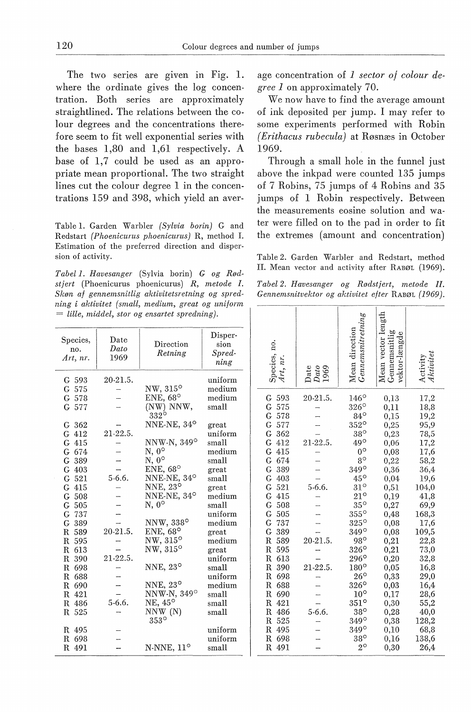The two series are given in Fig. 1. where the ordinate gives the log concentration. Both series are approximately straightlined. The relations between the colour degrees and the concentrations therefore seem to fit well exponential series with the bases 1,80 and 1,61 respectively. A base of 1,7 could be used as an appropriate mean proportional. The two straight lines cut the colour degree 1 in the concentrations 159 and 398, which yield an aver-

Table 1. Garden Warbler *(Sylvia borin)* G and Redstart *(Phoenicurus phoenicurus)* R, method I. Estimation of the preferred direction and dispersion of activity.

*Tabel I. Havesanger* (Sylvia borin) *G og Rødstjert* (Phoenicurus phoenicurus) *R, metode* I. *Skøn af gennenisnitlig aktivitetsretning og spredning i aktivitet (small, medium, great og uniform*  = *lille, middel, stor og ensartet spredning).* 

| Species,<br>no.<br>Art, nr.                          | Date<br>Dato<br>1969 | Direction<br>Retning                                                                     | Disper-<br>sion<br>Spred-<br>ning                      |
|------------------------------------------------------|----------------------|------------------------------------------------------------------------------------------|--------------------------------------------------------|
| G 593<br>G 575<br>G 578<br>G 577<br>G <sub>362</sub> | 20-21.5.             | $NW, 315^{\circ}$<br>ENE, $68^\circ$<br>(NW) NNW,<br>$332^\circ$<br>NNE-NE, $34^{\circ}$ | uniform<br>medium<br>$_{\rm medium}$<br>small<br>great |
| G 412<br>G 415<br>G 674<br>G 389                     | 21-22.5.             | NNW-N, 349°<br>$N, 0^{\circ}$<br>$N, 0^{\circ}$                                          | uniform<br>small<br>medium<br>small                    |
| G 403<br>G <sub>521</sub><br>G 415                   | 5-6.6.               | ENE, $68^\circ$<br>NNE-NE, 34°<br>NNE, $23^{\circ}$                                      | great<br>small<br>great                                |
| G <sub>508</sub><br>G <sub>505</sub><br>G 737        |                      | NNE-NE, 34°<br>$N, 0^{\circ}$                                                            | $_{\rm medium}$<br>small<br>uniform                    |
| G 389<br>R 589<br>R 595<br>R 613                     | 20-21.5.             | NNW, 338°<br>ENE, 68°<br>$NW, 315^{\circ}$<br>NW, 315°                                   | medium<br>great<br>$_{\rm medium}$<br>great            |
| R 390<br>R 698<br>R 688                              | 21-22.5.             | NNE, $23^{\circ}$                                                                        | uniform<br>small<br>uniform                            |
| R 690<br>R 421<br>R 486<br>R 525                     | $5-6.6$ .            | NNE, $23^{\circ}$<br>NNW-N, 349°<br>NE, 45°<br>NNW (N)<br>$353^\circ$                    | $_{\rm medium}$<br>small<br>small<br>small             |
| R 495<br>R 698<br>R.<br>491                          |                      | N-NNE, 11°                                                                               | uniform<br>uniform<br>$_{\rm small}$                   |

age concentration of *1 sector of colour degree 1* on approximately 70.

We now have to find the average amount of ink deposited per jump. I may refer to some experiments performed with Robin *(Erithacus rubecula)* at Røsnæs in October 1969.

Through a sma11 hole in the funnel just above the inkpad were counted 135 jumps of 7 Robins, 75 jumps of 4 Robins and 35 jumps of 1 Robin respectively. Between the measurements eosine solution and water were filled on to the pad in order to fit the extremes (amount and concentration)

Table 2. Garden Warbler and Redstart, method II. Mean vector and activity after RABØL (1969).

| Tabel 2. Havesanger og Rødstjert, metode II.      |  |  |  |  |
|---------------------------------------------------|--|--|--|--|
| Gennemsnitvektor og aktivitet efter RABØL (1969). |  |  |  |  |

| Species, no.<br>nr.                                                                                                                                                                                                                                                                                                                                                             | Date<br>Dato<br>1969                                                 | $\frac{M}{G}$ ean direction<br>Gennemsnitretning                                                                                                                                                                                                                                                                                                                                                 | Mean vector length<br>Gennemsnitlig<br>vektor-længde                                                                                                                                                                                |                                                                                                                                                                                                                          |
|---------------------------------------------------------------------------------------------------------------------------------------------------------------------------------------------------------------------------------------------------------------------------------------------------------------------------------------------------------------------------------|----------------------------------------------------------------------|--------------------------------------------------------------------------------------------------------------------------------------------------------------------------------------------------------------------------------------------------------------------------------------------------------------------------------------------------------------------------------------------------|-------------------------------------------------------------------------------------------------------------------------------------------------------------------------------------------------------------------------------------|--------------------------------------------------------------------------------------------------------------------------------------------------------------------------------------------------------------------------|
| G<br>593<br>G<br>575<br>G<br>578<br>Ġ<br>577<br>Ġ<br>362<br>G<br>412<br>G<br>415<br>Ġ<br>674<br>Ġ<br>389<br>Ġ<br>403<br>Ġ<br>521<br>Ġ<br>415<br>Ġ<br>508<br>Ġ<br>505<br>Ġ<br>737<br>Ġ<br>389<br>R<br>589<br>R<br>595<br>R<br>613<br>$\mathbb R$<br>390<br>$_{\rm R}$<br>698<br>R<br>688<br>$_{\rm R}$<br>690<br>$\mathbb R$<br>421<br>R<br>486<br>$_{\rm R}$<br>525<br>R<br>495 | 20 21.5.<br>21-22.5.<br>$5-6.6$ .<br>20-21.5.<br>21-22.5.<br>$5-6.6$ | $146^\circ$<br>$326^\circ$<br>$84^\circ$<br>$352^\circ$<br>$38^\circ$<br>49°<br>$0^{\circ}$<br>$8^\circ$<br>$349^\circ$<br>$45^{\circ}$<br>$31^\circ$<br>$21^\circ$<br>$35^{\circ}$<br>$355^\circ$<br>$325^\circ$<br>349°<br>$98^{\circ}$<br>$326^\circ$<br>$296^\circ$<br>$180^\circ$<br>$26^{\circ}$<br>$326^\circ$<br>$10^{\circ}$<br>$351^\circ$<br>$38^\circ$<br>$349^\circ$<br>$349^\circ$ | 0,13<br>0,11<br>0,15<br>0,25<br>0,23<br>0,06<br>0,08<br>0,22<br>0,36<br>0.04<br>0,51<br>0,19<br>0,27<br>0,48<br>0,08<br>0,08<br>0,21<br>$_{0,21}$<br>0,20<br>0,05<br>$_{0.33}$<br>$_{0,03}$<br>0,17<br>0,30<br>0,28<br>0,38<br>0,10 | 17,2<br>18,8<br>19,2<br>95,9<br>78,5<br>17,2<br>17,6<br>58,2<br>36,4<br>19,6<br>104,0<br>41,8<br>69,9<br>168,3<br>17,6<br>109,5<br>22,8<br>73,0<br>32,8<br>16,8<br>29,0<br>16,4<br>28,6<br>55,2<br>40,0<br>128,2<br>68,8 |
| R<br>698<br>491<br>R                                                                                                                                                                                                                                                                                                                                                            |                                                                      | $38^\circ$<br>$2^{\circ}$                                                                                                                                                                                                                                                                                                                                                                        | $_{0,16}$<br>$_{0,30}$                                                                                                                                                                                                              | 138,6<br>26,4                                                                                                                                                                                                            |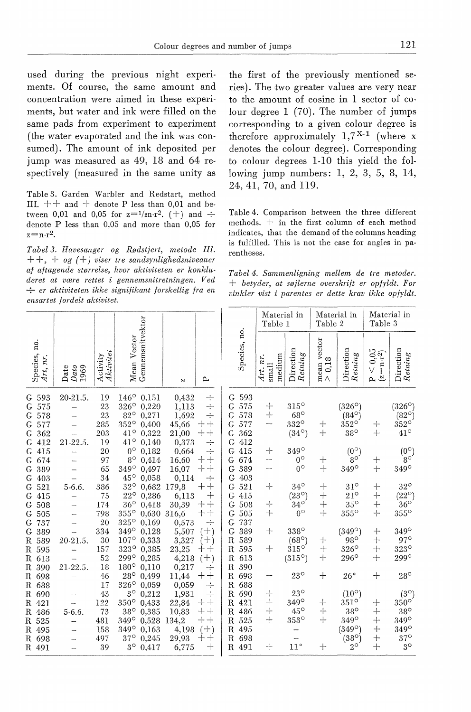used during the previous night experiments. Of course, the same amount and concentration were aimed in these experiments, but water and ink were filled on the same pads from experiment to experiment (the water evaporated and the ink was consumed). The amount of ink deposited per jump was measured as 49, 18 and 64 respectively (measured in the same unity as

Table 3. Garden Warbler and Redstart, method III.  $++$  and  $+$  denote P less than 0,01 and between 0,01 and 0,05 for  $z=1/2n r^2$ . (+) and  $\div$ denote P less than 0,05 and more than 0,05 for  $z=n\cdot r^2$ .

*Tabel 3. Havesanger og Rødstjert, metode III.*  + +, + *og ( +) viser tre sandsynlighedsniveauer af aftagende størrelse, hvor aktiviteten er konkluderet at være rettet i gennemsnitretningen. V ed*   $\div$  *er aktiviteten ikke signifikant forskellig fra en ensartet fordelt aktivitet.* 

the first of the previously mentioned series). The two greater values are very near to the amount of eosine in 1 sector of colour degree 1 (70). The number of jumps corresponding to a given colour degree is therefore approximately  $1, 7^{X-1}$  (where x denotes the colour degree). Corresponding to colour degrees 1-10 this yield the following jump numbers: 1, 2, 3, 5, 8, 14, 24, 41, 70, and 119.

Table 4. Comparison between the three different methods. + in the first column of each method indicates, that the demand of the columns heading is fulfilled. This is not the case for angles in parentheses.

*Tabel 4. Sammenligning mellem de tre metoder.*  + *betyder, at søjlerne overskrift er opfyldt. For vinkler vist i parentes er dette krav ikke opfyldt.* 

|                                                                    |                                            |                                    |                                                                                                                                                     |                                                    |                                                                                        |                                                          |                                        | Material in<br>Table 1        |                                                             | Material in<br>Table 2                            |                                                                    | Material in<br>Table 3                             |                                                                                           |
|--------------------------------------------------------------------|--------------------------------------------|------------------------------------|-----------------------------------------------------------------------------------------------------------------------------------------------------|----------------------------------------------------|----------------------------------------------------------------------------------------|----------------------------------------------------------|----------------------------------------|-------------------------------|-------------------------------------------------------------|---------------------------------------------------|--------------------------------------------------------------------|----------------------------------------------------|-------------------------------------------------------------------------------------------|
| no.<br>Species,<br>nr.<br>Art,                                     | Dato<br>1969<br>Date                       | Aktivitet<br>Activity              | Gennemsnitvektor<br>Mean Vector                                                                                                                     | N                                                  | $\sim$                                                                                 |                                                          | Species, no.                           | medium<br>Art. nr<br>$s$ mall | Direction<br>Retning                                        | mean vector<br>0,18<br>$\wedge$                   | Direction<br>Retning                                               | 0,05<br>$=$ n-r $\sp{2}$<br>V<br>ల<br>$\mathbf{a}$ | Direction<br>Retning                                                                      |
| G 593<br>575<br>G<br>G 578<br>G 577<br>362<br>G<br>412<br>G        | 20-21.5.<br>-<br>-<br>-<br>21-22.5.        | 19<br>23<br>23<br>285<br>203<br>19 | $146^{\circ}$<br>0,151<br>$326^{\circ}$<br>0,220<br>$82^{\circ}$<br>0,271<br>$352^\circ$<br>0,400<br>$41^{\circ}$<br>0.322<br>$41^{\circ}$<br>0,140 | 0,432<br>1,113<br>1,692<br>45,66<br>21,00<br>0,373 | ÷<br>$\div$<br>$\div$<br>$+$<br>$^{+}$<br>$+$<br>$\hspace{0.1mm} +\hspace{0.1mm}$<br>÷ | G<br>G<br>G<br>G<br>G<br>G                               | 593<br>575<br>578<br>577<br>362<br>412 | $\mathrm{+}$<br>$+$<br>$^{+}$ | $315^\circ$<br>$68^\circ$<br>332°<br>$(34^{\circ})$         | $^{+}$<br>$+$                                     | $(326^\circ$<br>$(84^{\circ})$<br>$352^\circ$<br>$38^\circ$        | ┿<br>$+$                                           | $(326^\circ)$<br>$(82^{\circ})$<br>$352^\circ$<br>$41^\circ$                              |
| 415<br>G<br>674<br>G<br>389<br>G<br>G<br>403                       | -<br><b>Service</b>                        | 20<br>97<br>65<br>34               | $0^{\circ}$<br>0,182<br>$8^{\circ}$<br>0,414<br>$349^\circ$<br>0,497<br>$45^{\circ}$<br>0.058                                                       | 0,664<br>16,60<br>16,07<br>0,114                   | ÷<br>$+$<br>$\, +$<br>$^{+}$<br>$^{+}$<br>÷                                            | G<br>G<br>G<br>G                                         | 415<br>674<br>389<br>403               | $^{+}$<br>$+$<br>$+$          | $349^\circ$<br>$0^{\circ}$<br>$0^{\circ}$                   | $^{+}$<br>$+$                                     | $(0^{\circ})$<br>$8^{\circ}$<br>349°                               | $+$<br>$+$                                         | $0^\circ_{8^\circ}$<br>349°                                                               |
| 521<br>G<br>415<br>G<br>508<br>G<br>505<br>G                       | 5-6.6.<br><u></u><br>-<br>-                | 386<br>75<br>174<br>798            | $32^{\circ}$<br>0,682<br>$22^{\circ}$<br>0,286<br>$36^\circ$<br>0,418<br>$355^\circ$<br>0,630                                                       | 179,8<br>6,113<br>30,39<br>316,6                   | $^{+}$<br>$+$<br>$\hspace{0.1mm} +\hspace{0.1mm}$<br>$^{+}$<br>$^{+}$<br>$+$<br>$+$    | G<br>G<br>G<br>G                                         | 521<br>415<br>508<br>505               | $+$<br>$+$<br>$+$             | $34^{\circ}$<br>$(23^{\circ})$<br>$34^\circ$<br>$0^{\circ}$ | $\hspace{0.1mm} +$<br>$+$<br>$^{+}$<br>$+$        | $31^\circ$<br>$21^{\circ}$<br>$35^{\circ}$<br>$355^\circ$          | $^{+}$<br>$+$<br>$^{+}$<br>$+$                     | $32^{\circ}$<br>$(22^{\circ})$<br>$36^\circ$<br>$355^\circ$                               |
| G<br>737<br>389<br>G<br>$\mathbf R$<br>589<br>R<br>595<br>R<br>613 | 20-21.5.                                   | 20<br>334<br>30<br>157<br>52       | $325^\circ$<br>0,169<br>$349^\circ$<br>0.128<br>$107^{\circ}$<br>0,333<br>323°<br>0,385<br>299°<br>0,285                                            | 0,573<br>5,507<br>3,327<br>23,25<br>4,218          | ÷<br>$(+)$<br>$(+)$<br>$++$<br>$(+)$                                                   | G<br>G<br>$\mathbb R$<br>$\mathbf R$<br>$\mathbb R$      | 737<br>389<br>589<br>595<br>613        | $+$<br>$+$                    | 338°<br>$(68^{\circ})$<br>$315^\circ$<br>$(315^{\circ})$    | $\hspace{0.1mm} +\hspace{0.1mm}$<br>$^{+}$<br>$+$ | $(349^{\circ})$<br>$98^\circ$<br>$326^\circ$<br>$296^\circ$        | $\pm$<br>$+$<br>$^{+}$<br>$+$                      | 349°<br>$97^\circ$<br>$323^\circ$<br>299°                                                 |
| R 390<br>R 698<br>R 688<br>R 690                                   | 21-22.5.<br>$\overline{\phantom{0}}$<br>-- | 18<br>46<br>17<br>43               | $180^\circ$<br>0,110<br>$28^{\circ}$<br>0,499<br>326°<br>0.059<br>$3^\circ$<br>0.212                                                                | 0,217<br>11,44<br>0,059<br>1,931                   | ÷<br>$+$<br>$\hspace{0.1mm} +\hspace{0.1mm}$<br>$\div$<br>$\div$                       | $\mathbf R$<br>$\mathbb R$<br>$\mathbb R$<br>$\mathbf R$ | 390<br>698<br>688<br>690               | $^{+}$<br>$^{+}$              | $23^{\circ}$<br>$23^{\circ}$                                | $^{+}$                                            | $26^{\circ}$<br>$(10^{\circ})$                                     | $+$                                                | $28^\circ$                                                                                |
| R 421<br>R 486<br>R 525<br>R 495<br>R 698                          | $\overline{\phantom{a}}$<br>$5 - 6.6$      | 122<br>73<br>481<br>158<br>497     | 350°<br>0,433<br>$38^\circ$<br>0,385<br>$349^\circ$<br>0.528<br>$349^\circ$<br>0,163<br>$37^\circ$<br>0,245                                         | 22,84<br>10,83<br>134,2<br>4,198<br>29,93          | $^{+}$<br>┿<br>$++$<br>$++$<br>$(+)$<br>┿<br>$^{+}$                                    | $\mathbf R$<br>R<br>R<br>$\mathbb R$<br>$\mathbb R$      | 421<br>486<br>525<br>495<br>698        | $^{+}$<br>$+$<br>$^{+}$       | 349°<br>$45^\circ$<br>$353^\circ$                           | ┿<br>$+$<br>$+$                                   | $351^\circ$<br>$38^\circ$<br>$349^\circ$<br>(349°)<br>$(38^\circ)$ | ┿<br>$+$<br>$+$<br>$+$<br>$^{+}$                   | $rac{(3^{\circ})}{350^{\circ}}$<br>$38^\circ$<br>$349^\circ$<br>$349^\circ$<br>$37^\circ$ |
| R 491                                                              |                                            | 39                                 | $3^{\circ}$<br>0.417                                                                                                                                | 6,775                                              | $+$                                                                                    |                                                          | R 491                                  | $+$                           | $11^{\circ}$                                                | $\hspace{0.1mm} +$                                | $2^{\circ}$                                                        | $+$                                                | $3^{\circ}$                                                                               |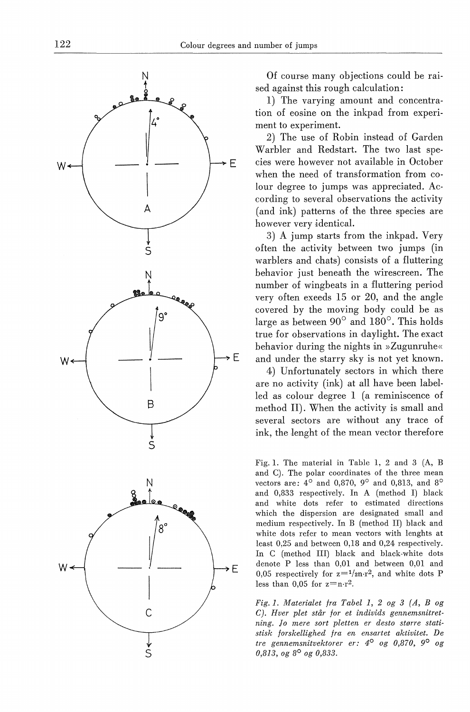

Of course many objections could be raised against this rough calculation:

1) The varying amount and concentration of eosine on the inkpad from experiment to experiment.

2) The use of Robin instead of Garden Warbler and Redstart. The two last species were however not available in October when the need of transformation from colour degree to jumps was appreciated. According to several observations the activity (and ink) patterns of the three species are however very identical.

3) A jump starts from the inkpad. Very often the activity between two jumps (in warblers and chats) consists of a fluttering behavior just beneath the wirescreen. The number of wingheats in a fluttering period very often exeeds 15 or 20, and the angle covered by the moving body could be as large as between 90° and 180°. This holds true for observations in daylight. The exact behavior during the nights in  $\Sigma$ ugunruhe« and under the starry sky is not yet known.

4) Unfortunately sectors in which there are no activity (ink) at all have been labelled as colour degree 1 (a reminiscence of method II). When the activity is small and several sectors are without any trace of ink, the lenght of the mean vector therefore

Fig. 1. The material in Table l, 2 and 3 (A, B and C). The polar coordinates of the three mean vectors are:  $4^{\circ}$  and 0,870,  $9^{\circ}$  and 0,813, and  $8^{\circ}$ and 0,833 respectively. In A (method I) black and white dots refer to estimated directions which the dispersion are designated small and medium respectively. In B (method II) black and white dots refer to mean vectors with lenghts at least 0,25 and between 0,18 and 0,24 respectively. In C (method III) black and black-white dots denote P less than 0,01 and between 0,01 and 0,05 respectively for  $z=1/m \cdot r^2$ , and white dots P less than  $0,05$  for  $z=n-r^2$ .

*Fig. 1. Materialet fra Tabel 1, 2 og 3 ( A, B og C). Hver plet står for et individs gennemsnitretning. Jo mere sort pletten er desto større statistisk forskellighed fra en ensartet aktivitet. De tre gennemsnitvektorer er: 4° og 0,870, 9° og 0,813, og 8° og 0,833.*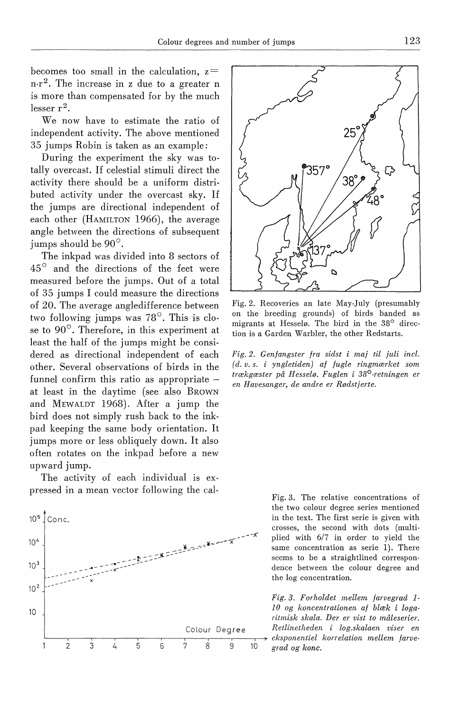becomes too small in the calculation,  $z =$  $n \cdot r^2$ . The increase in z due to a greater n is more than compensated for by the much lesser  $r^2$ .

We now have to estimate the ratio of independent activity. The ahove mentioned 35 jumps Robin is taken as an example:

During the experiment the sky was totally overcast. If celestial stimuli direct the activity there should he a uniform distrihuted activity under the overcast sky. If the jumps are directional independent of each other (HAMILTON 1966), the average angle hetween the directions of subsequent jumps should he 90°.

The inkpad was divided into 8 sectors of 45<sup>°</sup> and the directions of the feet were measured before the jumps. Out of a total of 35 jumps I could measure the directions of 20. The average angledifference hetween two following jumps was 78°. This is close to 90°. Therefore, in this experiment at least the half of the jumps might be considered as directional independent of each other. Several observations of hirds in the funnel confirm this ratio as appropriate at least in the daytime (see also BROWN and MEWALDT 1968). After a jump the hird does not simply rush back to the inkpad keeping the same hody orientation. It jumps more or less ohliquely down. It also often rotates on the inkpad hefore a new upward jump.

The activity of each individual is expressed in a mean vector following the cal-





Fig. 2. Recoveries an late May-July (presumahly on the hreeding grounds) of hirds handed as migrants at Hesselø. The hird in the 38° direction is a Garden Warhler, the other Redstarts.

*Fig. 2. Genfangster fra sidst* i *maj til juli incl. ( d. v. s. i yngletiden) af fugle ringmærket som trækgæster på Hesselø. Fuglen* i *38°-retningen er en Havesanger, de andre er Rødstjerte.* 

> Fig. 3. The relative concentrations of the two colour degree series mentioned in the text. The first serie is given with crosses, the second with dots (multiplied with 6/7 in order to yield the same concentration as serie 1). There scems to he a straightlined correspondence hetween the colour degree and the log concentration.

*Fig. 3. Forholdet mellem farvegrad I*l *0 og koncentrationen af blæk i logaritmisk skala. Der er vist to måleserier.*  Colour Degree Retlinetheden i log.skalaen viser en  $grad og k$ onc.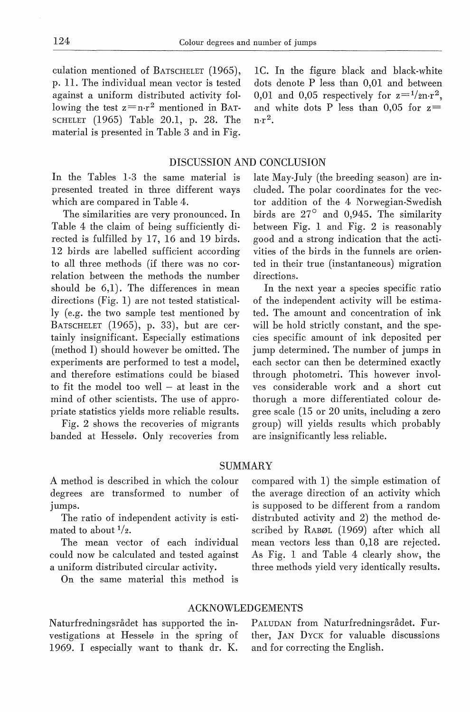culation mentioned of BATSCHELET (1965), p. 11. The individual mean vector is tested against a uniform distributed activity following the test  $z=n \cdot r^2$  mentioned in BAT-SCHELET (1965) Table 20.1, p. 28. The material is presented in Table 3 and in Fig.

In the Tables 1-3 the same material is presented treated in three different ways which are compared in Table 4.

The similarities are very pronounced. In Table 4 the claim of being sufficiently directed is fulfilled by 17, 16 and 19 hirds. 12 hirds are labelled sufficient according to all three methods (if there was no correlation between the methods the number should be 6,1). The differences in mean directions (Fig. 1) are not tested statistically (e.g. the two sample test mentioned by BATSCHELET (1965), p. 33), but are certainly insignificant. Especially estimations (method I) should however be omitted. The experiments are performed to test a model, and therefore estimations could be biased to fit the model too well  $-$  at least in the mind of other scientists. The use of appropriate statistics yields more reliable results.

Fig. 2 shows the recoveries of migrants banded at Hesselø. Only recoveries from IC. In the figure black and black-white dots denote P less than 0,01 and between 0.01 and 0.05 respectively for  $z=1/2n\text{ r}^2$ . and white dots P less than 0.05 for  $z=$  $n \cdot r^2$ .

#### DISCUSSION AND CONCLUSION

late May-July (the breeding season) are included. The polar coordinates for the vector addition of the 4 Norwegian-Swedish hirds are 27° and 0,945. The similarity between Fig. 1 and Fig. 2 is reasonably good and a strong indication that the activities of the birds in the funnels are oriented in their true (instantaneous) migration directions.

In the next year a species specific ratio of the independent activity will be estimated. The amount and concentration of ink will be hold strictly constant, and the species specific amount of ink deposited per jump determined. The number of jumps in each sector can then be determined exactly through photometri. This however involves considerable work and a short cut thorugh a more differentiated colour degree scale (15 or 20 units, including a zero group) will yields results which probably are insignificantly less reliable.

#### SUMMARY

A method is described in which the colour degrees are transformed to number of jumps.

The ratio of independent activity is estimated to about  $\frac{1}{2}$ .

The mean vector of each individual could now be calculated and tested against a uniform distributed circular activity.

On the same material this method is

compared with 1) the simple estimation of the average direction of an activity which is supposed to be different from a random distributed activity and 2) the method described by RABØL (1969) after which all mean vectors less than 0,18 are rejected. As Fig. 1 and Table 4 clearly show, the three methods yield very identically results.

# ACKNOWLEDGEMENTS

Naturfredningsrådet has supported the investigations at Hesselø in the spring of 1969. I especially want to thank dr. K.

PALUDAN from Naturfredningsrådet. Further, JAN DYCK for valuable discussions and for correcting the English.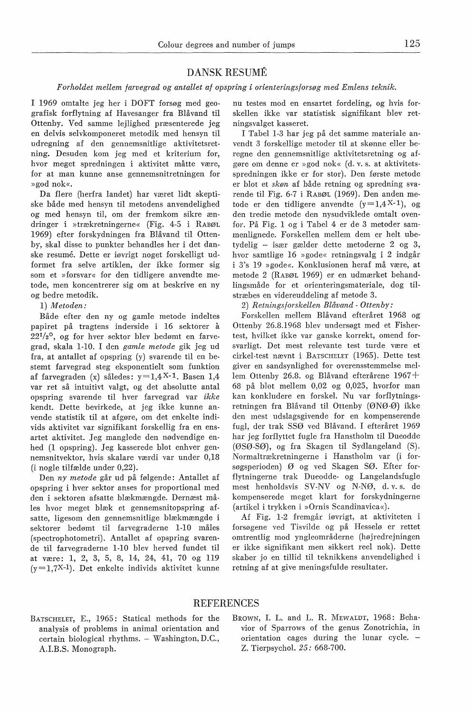## DANSK RESUME

#### *Forholdet mellem farvegrad og antallet af opspring* i *orienteringsforsøg med Emlens teknik.*

I 1969 omtalte jeg her i DOFT forsøg med geografisk forflytning af Havesanger fra Blåvand til Ottenby. Ved samme lejlighed præsenterede jeg en delvis selvkomponeret metodik med hensyn til udregning af den gennemsnitlige aktivitetsretning. Desuden kom jeg med et kriterium for, hvor meget spredningen i aktivitet måtte være, for at man kunne anse gennemsnitretningen for »god nok«.

Da flere (herfra landet) har været lidt skeptiske både med hensyn til metodens anvendelighed og med hensyn til, om der fremkom sikre ændringer i »trækretningerne« (Fig. 4-5 i RABØL 1969) efter forskydningen fra Blåvand til Ottenby, skal disse to punkter behandles her i det danske resume. Dette er iøvrigt noget forskelligt udformet fra selve artiklen, der ikke former sig som et »forsvar« for den tidligere anvendte metode, men koncentrerer sig om at beskrive en ny og bedre metodik.

#### 1) *Metoden:*

Både efter den ny og gamle metode indeltes papiret på tragtens inderside i 16 sektorer a  $22^{1/2}$ °, og for hver sektor blev bedømt en farvegrad, skala 1-10. I den *gamle metode* gik jeg ud fra, at antallet af opspring (y) svarende til en bestemt farvegrad steg eksponentielt som funktion af farvegraden (x) således:  $y=1,4$ X-1. Basen 1,4 var ret så intuitivt valgt, og det absolutte antal opspring svarende til hver farvegrad var *ikke*  kendt. Dette bevirkede, at jeg ikke kunne anvende statistik til at afgøre, om det enkelte individs aktivitet var signifikant forskellig fra en ensartet aktivitet. Jeg manglede den nødvendige enhed (1 opspring). Jeg kasserede blot enhver gennemsnitvektor, hvis skalare værdi var under 0,18 (i nogle tilfælde under 0,22).

Den *ny metode* går ud på følgende: Antallet af opspring i hver sektor anses for proportional med den i sektoren afsatte blækmængde. Dernæst måles hvor meget blæk et gennemsnitopspring afsatte, ligesom den gennemsnitlige blækmængde i sektorer bedømt til farvegraderne 1-10 måles (spectrophotometri). Antallet af opspring svarende til farvegraderne 1-10 blev herved fundet til at være: 1, 2, 3, 5, 8, H, 24, 41, 70 og 119  $(y=1,7X-1)$ . Det enkelte individs aktivitet kunne nu testes mod en ensartet fordeling, og hvis forskellen ikke var statistisk signifikant blev retningsvalget kasseret.

I Tabel 1-3 har jeg på det samme materiale anvendt 3 forskellige metoder til at skønne eller beregne den gennemsnitlige aktivitetsretning og afgøre om denne er »god nok« (d. v. s. at aktivitetsspredningen ikke er for stor). Den første metode er blot et *skøn* af både retning og spredning svarende til Fig. 6-7 i RABØL (1969). Den anden metode er den tidligere anvendte  $(y=1,4X-1)$ , og den tredie metode den nysudviklede omtalt ovenfor. På Fig. 1 og i Tabel 4, er de 3 metoder sammenlignede. Forskellen mellem dem er helt ubetydelig - især gælder dette metoderne 2 og 3, hvor samtlige 16 »gode« retningsvalg i 2 indgår i 3's 19 »gode«. Konklusionen heraf må være, at metode 2 (RABØL 1969) er en udmærket behandlingsmåde for et orienteringsmateriale, dog tilstræbes en videreuddeling af metode 3.

2) *Retningsforskellen Blåvand* - *Ottenby:* 

Forskellen mellem Blåvand efteråret 1968 og Ottenby 26.8.1968 blev undersøgt med et Fishertest, hvilket ikke var ganske korrekt, omend forsvarligt. Det mest relevante test turde være et cirkel-test nævnt i BATSCHELET (1965). Dette test giver en sandsynlighed for overensstemmelse mellem Ottenby 26.8. og Blåvand efterårene 1967 + 68 på blot mellem 0,02 og 0,025, hvorfor man kan konkludere en forskel. Nu var forflytningsretningen fra Blåvand til Ottenby (ØNØ-Ø) ikke den mest udslagsgivende for en kompenserende fugl, der trak SSØ ved Blåvand. I efteråret 1969 har jeg forflyttet fugle fra Hanstholm til Dueodde (ØSØ-SØ), og fra Skagen til Sydlangeland (S). Normaltrækretningerne i Hanstholm var (i forsøgsperioden) Ø og ved Skagen SØ. Efter forflytningerne trak Dueodde- og Langelandsfugle mest henholdsvis SV-NV og N-NØ, d. v. s. de kompenserede meget klart for forskydningerne (artikel i trykken i »Ornis Scandinavica«).

Af Fig. 1-2 fremgår iøvrigt, at aktiviteten i forsøgene ved Tisvilde og på Hesselø er rettet omtrentlig mod yngleområderne (højredrejningen er ikke signifikant men sikkert reel nok). Dette skaber jo en tillid til teknikkens anvendelighed i retning af at give meningsfulde resultater.

#### REFERENCES

- BATSCHELET, E., 1965: Statical methods for the analysis of problems in animal orientation and certain biological rhythms. - Washington, D.C., A.I.B.S. Monograph.
- BROWN, I. L. and L. R. MEWALDT, 1968: Behavior of Sparrows of the genus Zonotrichia, in orientation cages during the lunar cycle. - Z. Tierpsychol. *25:* 668-700.